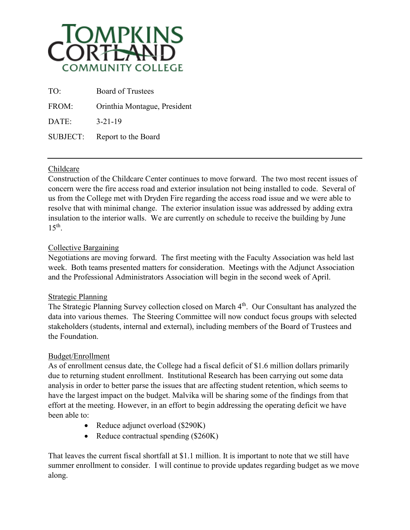

| TO:      | <b>Board of Trustees</b>     |
|----------|------------------------------|
| FROM:    | Orinthia Montague, President |
| DATE:    | $3 - 21 - 19$                |
| SUBJECT: | Report to the Board          |

# Childcare

Construction of the Childcare Center continues to move forward. The two most recent issues of concern were the fire access road and exterior insulation not being installed to code. Several of us from the College met with Dryden Fire regarding the access road issue and we were able to resolve that with minimal change. The exterior insulation issue was addressed by adding extra insulation to the interior walls. We are currently on schedule to receive the building by June  $15<sup>th</sup>$ .

## Collective Bargaining

Negotiations are moving forward. The first meeting with the Faculty Association was held last week. Both teams presented matters for consideration. Meetings with the Adjunct Association and the Professional Administrators Association will begin in the second week of April.

## Strategic Planning

The Strategic Planning Survey collection closed on March 4<sup>th</sup>. Our Consultant has analyzed the data into various themes. The Steering Committee will now conduct focus groups with selected stakeholders (students, internal and external), including members of the Board of Trustees and the Foundation.

#### Budget/Enrollment

As of enrollment census date, the College had a fiscal deficit of \$1.6 million dollars primarily due to returning student enrollment. Institutional Research has been carrying out some data analysis in order to better parse the issues that are affecting student retention, which seems to have the largest impact on the budget. Malvika will be sharing some of the findings from that effort at the meeting. However, in an effort to begin addressing the operating deficit we have been able to:

- Reduce adjunct overload (\$290K)
- Reduce contractual spending (\$260K)

That leaves the current fiscal shortfall at \$1.1 million. It is important to note that we still have summer enrollment to consider. I will continue to provide updates regarding budget as we move along.